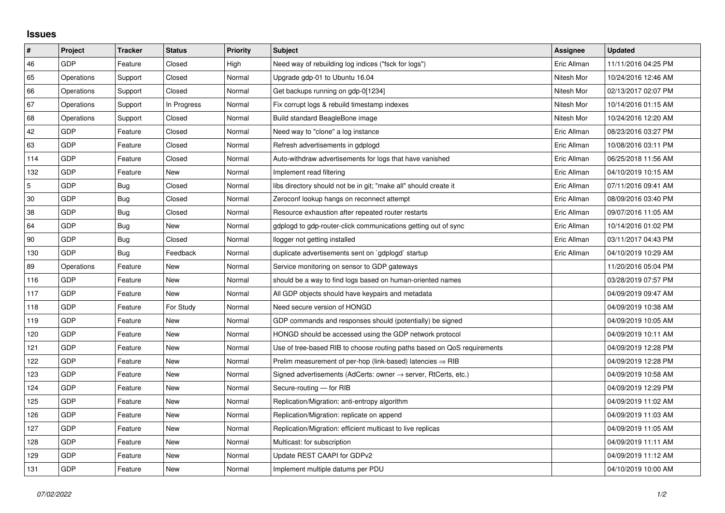## **Issues**

| $\vert$ #  | Project    | <b>Tracker</b> | <b>Status</b> | <b>Priority</b> | <b>Subject</b>                                                             | Assignee    | <b>Updated</b>      |
|------------|------------|----------------|---------------|-----------------|----------------------------------------------------------------------------|-------------|---------------------|
| 46         | GDP        | Feature        | Closed        | High            | Need way of rebuilding log indices ("fsck for logs")                       | Eric Allman | 11/11/2016 04:25 PM |
| 65         | Operations | Support        | Closed        | Normal          | Upgrade gdp-01 to Ubuntu 16.04                                             | Nitesh Mor  | 10/24/2016 12:46 AM |
| 66         | Operations | Support        | Closed        | Normal          | Get backups running on gdp-0[1234]                                         | Nitesh Mor  | 02/13/2017 02:07 PM |
| 67         | Operations | Support        | In Progress   | Normal          | Fix corrupt logs & rebuild timestamp indexes                               | Nitesh Mor  | 10/14/2016 01:15 AM |
| 68         | Operations | Support        | Closed        | Normal          | Build standard BeagleBone image                                            | Nitesh Mor  | 10/24/2016 12:20 AM |
| 42         | <b>GDP</b> | Feature        | Closed        | Normal          | Need way to "clone" a log instance                                         | Eric Allman | 08/23/2016 03:27 PM |
| 63         | <b>GDP</b> | Feature        | Closed        | Normal          | Refresh advertisements in gdplogd                                          | Eric Allman | 10/08/2016 03:11 PM |
| 114        | GDP        | Feature        | Closed        | Normal          | Auto-withdraw advertisements for logs that have vanished                   | Eric Allman | 06/25/2018 11:56 AM |
| 132        | <b>GDP</b> | Feature        | New           | Normal          | Implement read filtering                                                   | Eric Allman | 04/10/2019 10:15 AM |
| $\sqrt{5}$ | <b>GDP</b> | Bug            | Closed        | Normal          | libs directory should not be in git; "make all" should create it           | Eric Allman | 07/11/2016 09:41 AM |
| 30         | GDP        | Bug            | Closed        | Normal          | Zeroconf lookup hangs on reconnect attempt                                 | Eric Allman | 08/09/2016 03:40 PM |
| 38         | <b>GDP</b> | Bug            | Closed        | Normal          | Resource exhaustion after repeated router restarts                         | Eric Allman | 09/07/2016 11:05 AM |
| 64         | GDP        | Bug            | New           | Normal          | gdplogd to gdp-router-click communications getting out of sync             | Eric Allman | 10/14/2016 01:02 PM |
| 90         | GDP        | Bug            | Closed        | Normal          | llogger not getting installed                                              | Eric Allman | 03/11/2017 04:43 PM |
| 130        | GDP        | Bug            | Feedback      | Normal          | duplicate advertisements sent on `gdplogd` startup                         | Eric Allman | 04/10/2019 10:29 AM |
| 89         | Operations | Feature        | <b>New</b>    | Normal          | Service monitoring on sensor to GDP gateways                               |             | 11/20/2016 05:04 PM |
| 116        | GDP        | Feature        | New           | Normal          | should be a way to find logs based on human-oriented names                 |             | 03/28/2019 07:57 PM |
| 117        | <b>GDP</b> | Feature        | New           | Normal          | All GDP objects should have keypairs and metadata                          |             | 04/09/2019 09:47 AM |
| 118        | <b>GDP</b> | Feature        | For Study     | Normal          | Need secure version of HONGD                                               |             | 04/09/2019 10:38 AM |
| 119        | <b>GDP</b> | Feature        | New           | Normal          | GDP commands and responses should (potentially) be signed                  |             | 04/09/2019 10:05 AM |
| 120        | <b>GDP</b> | Feature        | New           | Normal          | HONGD should be accessed using the GDP network protocol                    |             | 04/09/2019 10:11 AM |
| 121        | <b>GDP</b> | Feature        | New           | Normal          | Use of tree-based RIB to choose routing paths based on QoS requirements    |             | 04/09/2019 12:28 PM |
| 122        | GDP        | Feature        | New           | Normal          | Prelim measurement of per-hop (link-based) latencies $\Rightarrow$ RIB     |             | 04/09/2019 12:28 PM |
| 123        | <b>GDP</b> | Feature        | New           | Normal          | Signed advertisements (AdCerts: owner $\rightarrow$ server, RtCerts, etc.) |             | 04/09/2019 10:58 AM |
| 124        | <b>GDP</b> | Feature        | <b>New</b>    | Normal          | Secure-routing - for RIB                                                   |             | 04/09/2019 12:29 PM |
| 125        | GDP        | Feature        | New           | Normal          | Replication/Migration: anti-entropy algorithm                              |             | 04/09/2019 11:02 AM |
| 126        | GDP        | Feature        | New           | Normal          | Replication/Migration: replicate on append                                 |             | 04/09/2019 11:03 AM |
| 127        | <b>GDP</b> | Feature        | <b>New</b>    | Normal          | Replication/Migration: efficient multicast to live replicas                |             | 04/09/2019 11:05 AM |
| 128        | <b>GDP</b> | Feature        | New           | Normal          | Multicast: for subscription                                                |             | 04/09/2019 11:11 AM |
| 129        | GDP        | Feature        | New           | Normal          | Update REST CAAPI for GDPv2                                                |             | 04/09/2019 11:12 AM |
| 131        | GDP        | Feature        | <b>New</b>    | Normal          | Implement multiple datums per PDU                                          |             | 04/10/2019 10:00 AM |